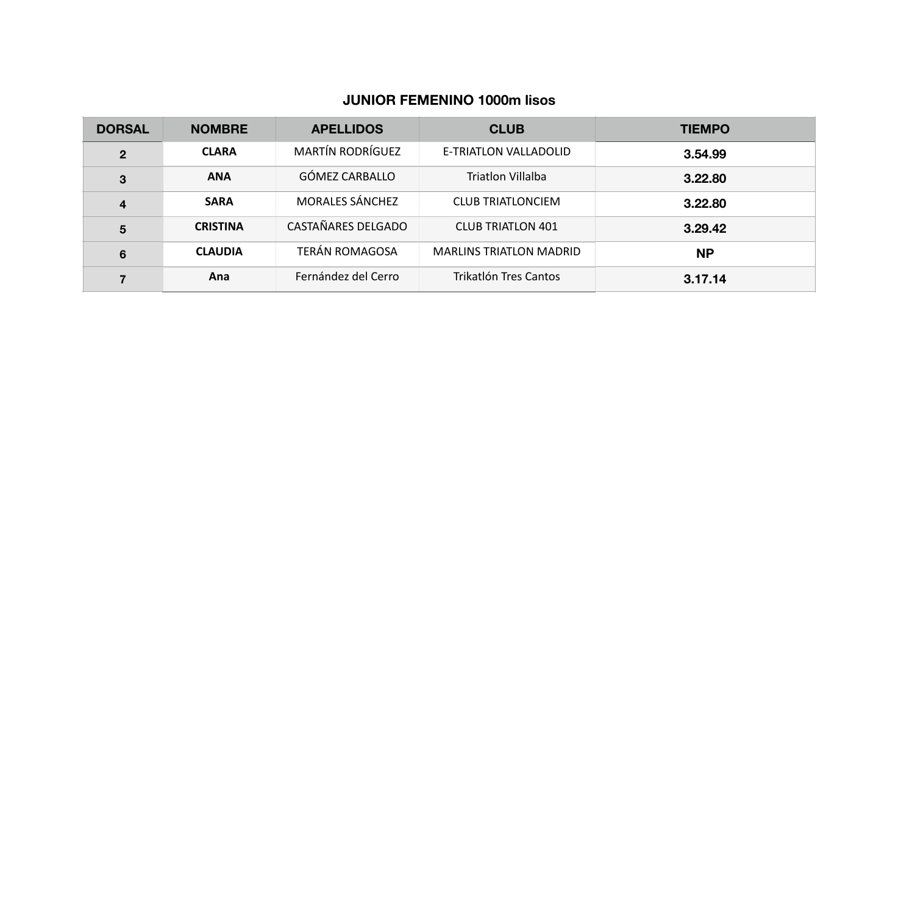## **JUNIOR FEMENINO 1000m lisos**

| <b>DORSAL</b>    | <b>NOMBRE</b>   | <b>APELLIDOS</b>        | <b>CLUB</b>                    | <b>TIEMPO</b> |
|------------------|-----------------|-------------------------|--------------------------------|---------------|
| $\boldsymbol{2}$ | <b>CLARA</b>    | <b>MARTÍN RODRÍGUEZ</b> | E-TRIATLON VALLADOLID          | 3.54.99       |
| 3                | <b>ANA</b>      | GÓMEZ CARBALLO          | <b>Triatlon Villalba</b>       | 3.22.80       |
| $\overline{4}$   | <b>SARA</b>     | <b>MORALES SÁNCHEZ</b>  | <b>CLUB TRIATLONCIEM</b>       | 3.22.80       |
| $5\phantom{1}$   | <b>CRISTINA</b> | CASTAÑARES DELGADO      | <b>CLUB TRIATLON 401</b>       | 3.29.42       |
| 6                | <b>CLAUDIA</b>  | <b>TERÁN ROMAGOSA</b>   | <b>MARLINS TRIATLON MADRID</b> | <b>NP</b>     |
|                  | Ana             | Fernández del Cerro     | Trikatlón Tres Cantos          | 3.17.14       |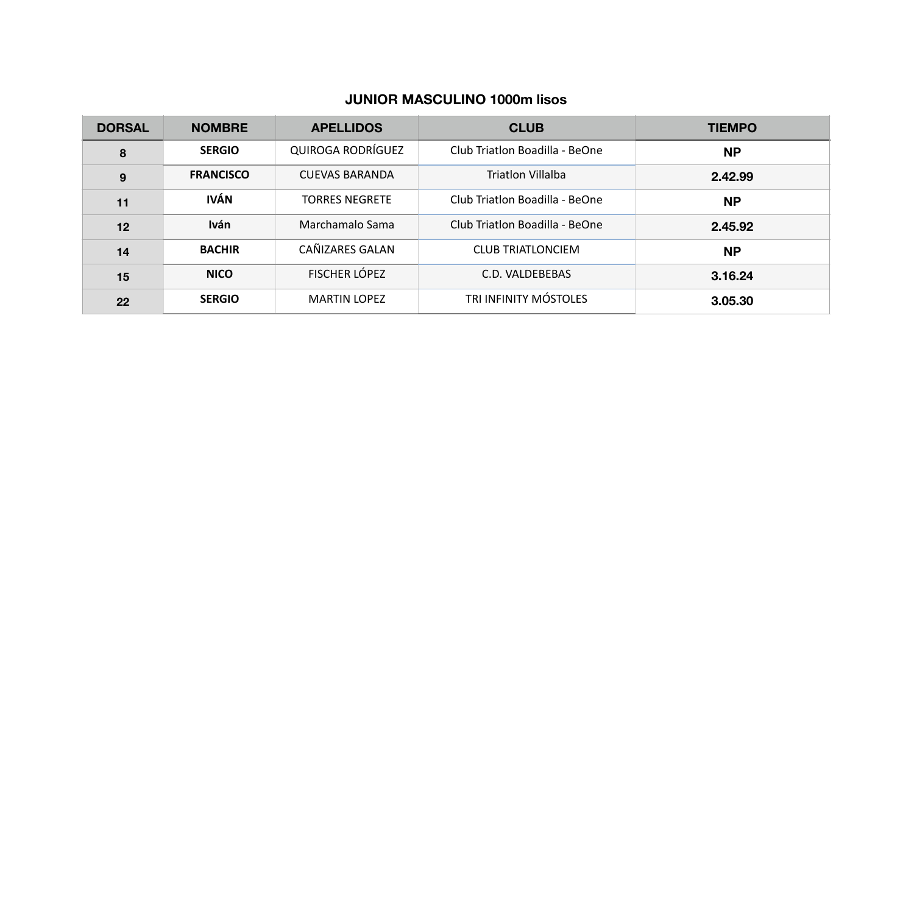# **JUNIOR MASCULINO 1000m lisos**

| <b>DORSAL</b> | <b>NOMBRE</b>    | <b>APELLIDOS</b>      | <b>CLUB</b>                    | <b>TIEMPO</b> |
|---------------|------------------|-----------------------|--------------------------------|---------------|
| 8             | <b>SERGIO</b>    | QUIROGA RODRÍGUEZ     | Club Triatlon Boadilla - BeOne | <b>NP</b>     |
| 9             | <b>FRANCISCO</b> | <b>CUEVAS BARANDA</b> | <b>Triatlon Villalba</b>       | 2.42.99       |
| 11            | <b>IVÁN</b>      | <b>TORRES NEGRETE</b> | Club Triatlon Boadilla - BeOne | <b>NP</b>     |
| 12            | <b>Iván</b>      | Marchamalo Sama       | Club Triatlon Boadilla - BeOne | 2.45.92       |
| 14            | <b>BACHIR</b>    | CAÑIZARES GALAN       | <b>CLUB TRIATLONCIEM</b>       | <b>NP</b>     |
| 15            | <b>NICO</b>      | FISCHER LÓPEZ         | C.D. VALDEBEBAS                | 3.16.24       |
| 22            | <b>SERGIO</b>    | <b>MARTIN LOPEZ</b>   | TRI INFINITY MÓSTOLES          | 3.05.30       |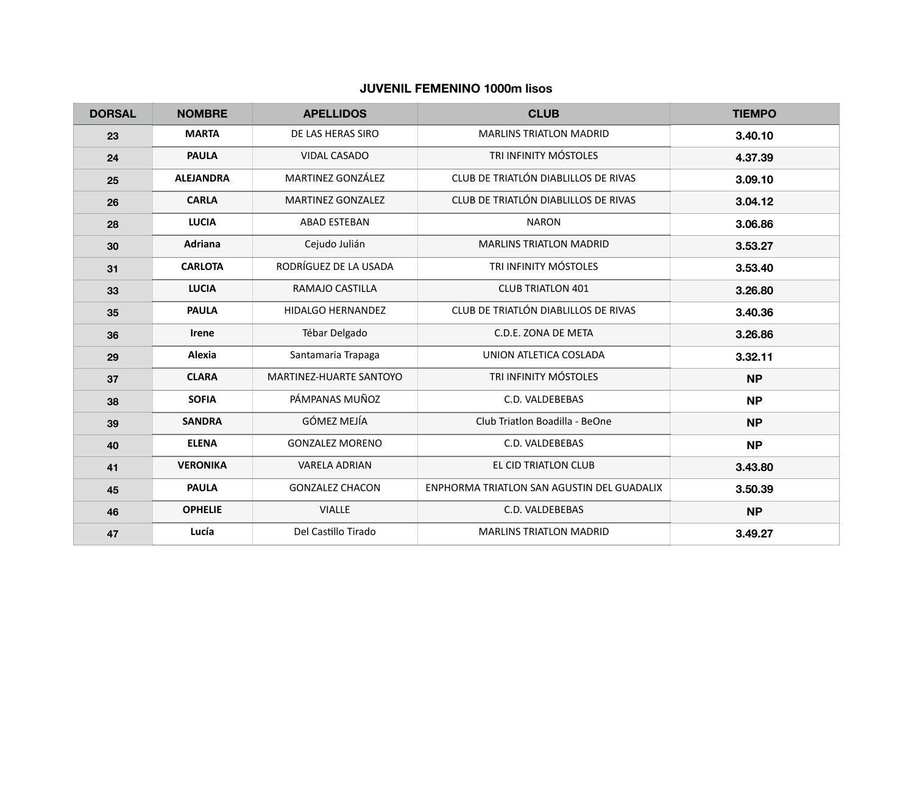## **JUVENIL FEMENINO 1000m lisos**

| <b>DORSAL</b> | <b>NOMBRE</b>    | <b>APELLIDOS</b>         | <b>CLUB</b>                                | <b>TIEMPO</b> |
|---------------|------------------|--------------------------|--------------------------------------------|---------------|
| 23            | <b>MARTA</b>     | DE LAS HERAS SIRO        | <b>MARLINS TRIATLON MADRID</b>             | 3.40.10       |
| 24            | <b>PAULA</b>     | <b>VIDAL CASADO</b>      | TRI INFINITY MÓSTOLES                      | 4.37.39       |
| 25            | <b>ALEJANDRA</b> | <b>MARTINEZ GONZÁLEZ</b> | CLUB DE TRIATLÓN DIABLILLOS DE RIVAS       | 3.09.10       |
| 26            | <b>CARLA</b>     | <b>MARTINEZ GONZALEZ</b> | CLUB DE TRIATLÓN DIABLILLOS DE RIVAS       | 3.04.12       |
| 28            | <b>LUCIA</b>     | <b>ABAD ESTEBAN</b>      | <b>NARON</b>                               | 3.06.86       |
| 30            | <b>Adriana</b>   | Cejudo Julián            | <b>MARLINS TRIATLON MADRID</b>             | 3.53.27       |
| 31            | <b>CARLOTA</b>   | RODRÍGUEZ DE LA USADA    | TRI INFINITY MÓSTOLES                      | 3.53.40       |
| 33            | <b>LUCIA</b>     | RAMAJO CASTILLA          | <b>CLUB TRIATLON 401</b>                   | 3.26.80       |
| 35            | <b>PAULA</b>     | HIDALGO HERNANDEZ        | CLUB DE TRIATLÓN DIABLILLOS DE RIVAS       | 3.40.36       |
| 36            | <b>Irene</b>     | Tébar Delgado            | C.D.E. ZONA DE META                        | 3.26.86       |
| 29            | Alexia           | Santamaria Trapaga       | UNION ATLETICA COSLADA                     | 3.32.11       |
| 37            | <b>CLARA</b>     | MARTINEZ-HUARTE SANTOYO  | TRI INFINITY MÓSTOLES                      | <b>NP</b>     |
| 38            | <b>SOFIA</b>     | PÁMPANAS MUÑOZ           | C.D. VALDEBEBAS                            | <b>NP</b>     |
| 39            | <b>SANDRA</b>    | GÓMEZ MEJÍA              | Club Triatlon Boadilla - BeOne             | <b>NP</b>     |
| 40            | <b>ELENA</b>     | <b>GONZALEZ MORENO</b>   | C.D. VALDEBEBAS                            | <b>NP</b>     |
| 41            | <b>VERONIKA</b>  | <b>VARELA ADRIAN</b>     | EL CID TRIATLON CLUB                       | 3.43.80       |
| 45            | <b>PAULA</b>     | <b>GONZALEZ CHACON</b>   | ENPHORMA TRIATLON SAN AGUSTIN DEL GUADALIX | 3.50.39       |
| 46            | <b>OPHELIE</b>   | <b>VIALLE</b>            | C.D. VALDEBEBAS                            | <b>NP</b>     |
| 47            | Lucía            | Del Castillo Tirado      | <b>MARLINS TRIATLON MADRID</b>             | 3.49.27       |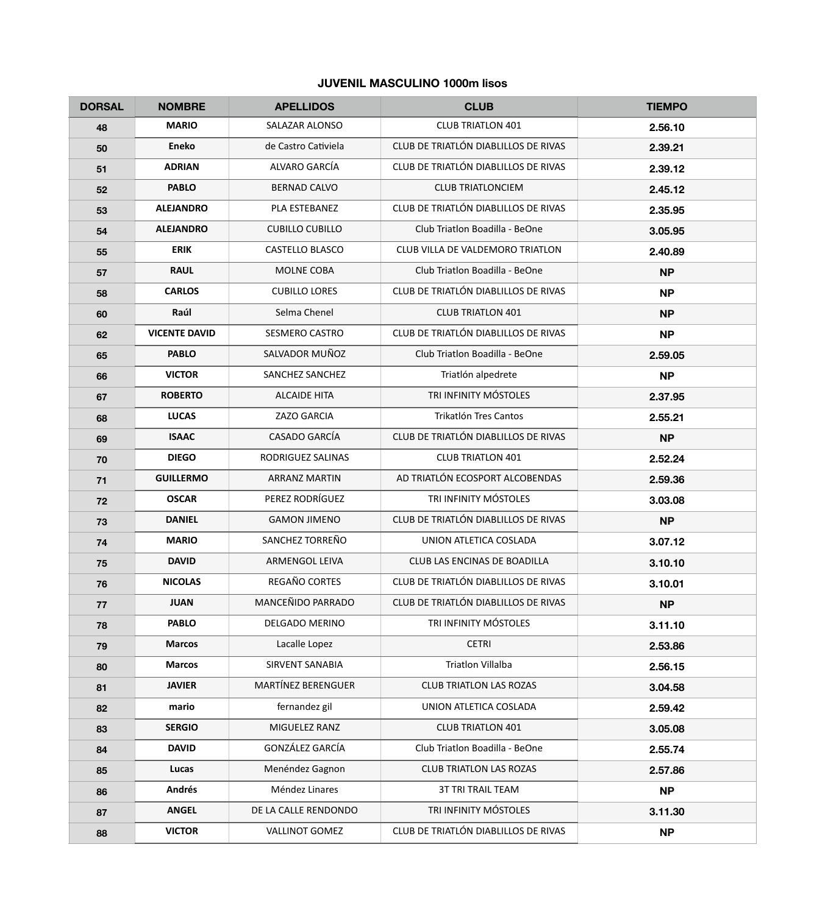#### **JUVENIL MASCULINO 1000m lisos**

| <b>DORSAL</b> | <b>NOMBRE</b>        | <b>APELLIDOS</b>          | <b>CLUB</b>                          | <b>TIEMPO</b> |
|---------------|----------------------|---------------------------|--------------------------------------|---------------|
| 48            | <b>MARIO</b>         | SALAZAR ALONSO            | <b>CLUB TRIATLON 401</b>             | 2.56.10       |
| 50            | <b>Eneko</b>         | de Castro Cativiela       | CLUB DE TRIATLÓN DIABLILLOS DE RIVAS | 2.39.21       |
| 51            | <b>ADRIAN</b>        | ALVARO GARCÍA             | CLUB DE TRIATLÓN DIABLILLOS DE RIVAS | 2.39.12       |
| 52            | <b>PABLO</b>         | <b>BERNAD CALVO</b>       | <b>CLUB TRIATLONCIEM</b>             | 2.45.12       |
| 53            | <b>ALEJANDRO</b>     | PLA ESTEBANEZ             | CLUB DE TRIATLÓN DIABLILLOS DE RIVAS | 2.35.95       |
| 54            | <b>ALEJANDRO</b>     | <b>CUBILLO CUBILLO</b>    | Club Triatlon Boadilla - BeOne       | 3.05.95       |
| 55            | <b>ERIK</b>          | <b>CASTELLO BLASCO</b>    | CLUB VILLA DE VALDEMORO TRIATLON     | 2.40.89       |
| 57            | <b>RAUL</b>          | MOLNE COBA                | Club Triatlon Boadilla - BeOne       | <b>NP</b>     |
| 58            | <b>CARLOS</b>        | <b>CUBILLO LORES</b>      | CLUB DE TRIATLÓN DIABLILLOS DE RIVAS | <b>NP</b>     |
| 60            | Raúl                 | Selma Chenel              | <b>CLUB TRIATLON 401</b>             | <b>NP</b>     |
| 62            | <b>VICENTE DAVID</b> | SESMERO CASTRO            | CLUB DE TRIATLÓN DIABLILLOS DE RIVAS | <b>NP</b>     |
| 65            | <b>PABLO</b>         | SALVADOR MUÑOZ            | Club Triatlon Boadilla - BeOne       | 2.59.05       |
| 66            | <b>VICTOR</b>        | SANCHEZ SANCHEZ           | Triatlón alpedrete                   | <b>NP</b>     |
| 67            | <b>ROBERTO</b>       | <b>ALCAIDE HITA</b>       | TRI INFINITY MÓSTOLES                | 2.37.95       |
| 68            | <b>LUCAS</b>         | ZAZO GARCIA               | Trikatlón Tres Cantos                | 2.55.21       |
| 69            | <b>ISAAC</b>         | CASADO GARCÍA             | CLUB DE TRIATLÓN DIABLILLOS DE RIVAS | <b>NP</b>     |
| 70            | <b>DIEGO</b>         | RODRIGUEZ SALINAS         | <b>CLUB TRIATLON 401</b>             | 2.52.24       |
| 71            | <b>GUILLERMO</b>     | <b>ARRANZ MARTIN</b>      | AD TRIATLÓN ECOSPORT ALCOBENDAS      | 2.59.36       |
| 72            | <b>OSCAR</b>         | PEREZ RODRÍGUEZ           | TRI INFINITY MÓSTOLES                | 3.03.08       |
| 73            | <b>DANIEL</b>        | <b>GAMON JIMENO</b>       | CLUB DE TRIATLÓN DIABLILLOS DE RIVAS | <b>NP</b>     |
| 74            | <b>MARIO</b>         | SANCHEZ TORREÑO           | UNION ATLETICA COSLADA               | 3.07.12       |
| 75            | <b>DAVID</b>         | ARMENGOL LEIVA            | CLUB LAS ENCINAS DE BOADILLA         | 3.10.10       |
| 76            | <b>NICOLAS</b>       | REGAÑO CORTES             | CLUB DE TRIATLÓN DIABLILLOS DE RIVAS | 3.10.01       |
| 77            | <b>JUAN</b>          | MANCEÑIDO PARRADO         | CLUB DE TRIATLÓN DIABLILLOS DE RIVAS | <b>NP</b>     |
| 78            | <b>PABLO</b>         | <b>DELGADO MERINO</b>     | TRI INFINITY MÓSTOLES                | 3.11.10       |
| 79            | <b>Marcos</b>        | Lacalle Lopez             | <b>CETRI</b>                         | 2.53.86       |
| 80            | <b>Marcos</b>        | SIRVENT SANABIA           | <b>Triatlon Villalba</b>             | 2.56.15       |
| 81            | <b>JAVIER</b>        | <b>MARTÍNEZ BERENGUER</b> | <b>CLUB TRIATLON LAS ROZAS</b>       | 3.04.58       |
| 82            | mario                | fernandez gil             | UNION ATLETICA COSLADA               | 2.59.42       |
| 83            | <b>SERGIO</b>        | MIGUELEZ RANZ             | <b>CLUB TRIATLON 401</b>             | 3.05.08       |
| 84            | <b>DAVID</b>         | GONZÁLEZ GARCÍA           | Club Triatlon Boadilla - BeOne       | 2.55.74       |
| 85            | Lucas                | Menéndez Gagnon           | <b>CLUB TRIATLON LAS ROZAS</b>       | 2.57.86       |
| 86            | Andrés               | Méndez Linares            | <b>3T TRI TRAIL TEAM</b>             | <b>NP</b>     |
| 87            | <b>ANGEL</b>         | DE LA CALLE RENDONDO      | TRI INFINITY MÓSTOLES                | 3.11.30       |
| 88            | <b>VICTOR</b>        | <b>VALLINOT GOMEZ</b>     | CLUB DE TRIATLÓN DIABLILLOS DE RIVAS | <b>NP</b>     |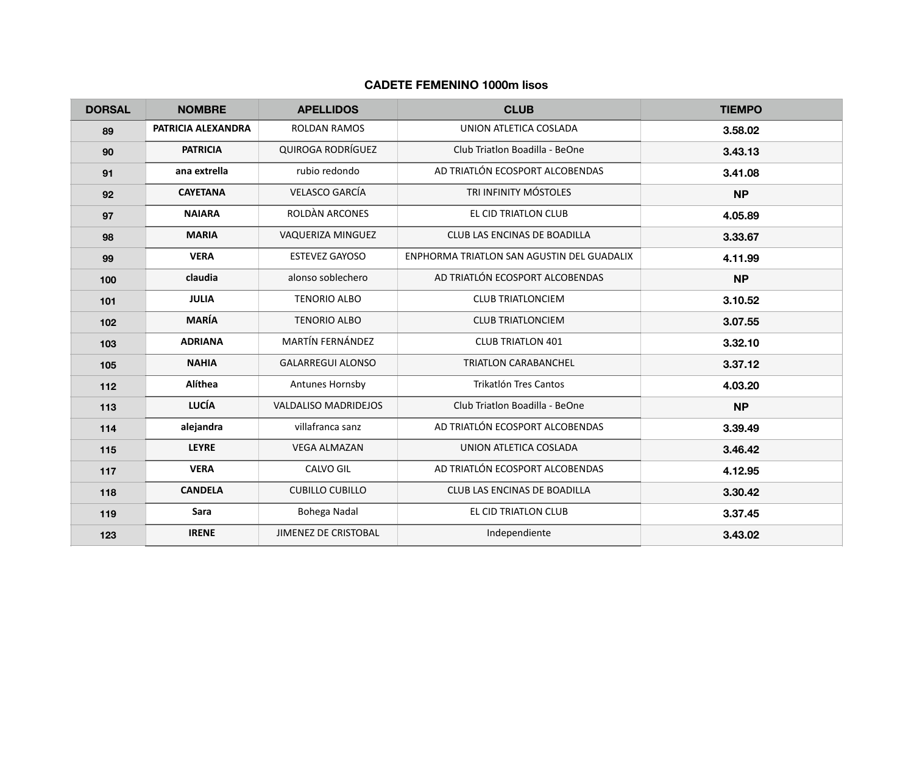# **CADETE FEMENINO 1000m lisos**

| <b>DORSAL</b> | <b>NOMBRE</b>      | <b>APELLIDOS</b>            | <b>CLUB</b>                                | <b>TIEMPO</b> |
|---------------|--------------------|-----------------------------|--------------------------------------------|---------------|
| 89            | PATRICIA ALEXANDRA | <b>ROLDAN RAMOS</b>         | UNION ATLETICA COSLADA                     | 3.58.02       |
| 90            | <b>PATRICIA</b>    | QUIROGA RODRÍGUEZ           | Club Triatlon Boadilla - BeOne             | 3.43.13       |
| 91            | ana extrella       | rubio redondo               | AD TRIATLÓN ECOSPORT ALCOBENDAS            | 3.41.08       |
| 92            | <b>CAYETANA</b>    | <b>VELASCO GARCÍA</b>       | TRI INFINITY MÓSTOLES                      | <b>NP</b>     |
| 97            | <b>NAIARA</b>      | ROLDÀN ARCONES              | EL CID TRIATLON CLUB                       | 4.05.89       |
| 98            | <b>MARIA</b>       | VAQUERIZA MINGUEZ           | CLUB LAS ENCINAS DE BOADILLA               | 3.33.67       |
| 99            | <b>VERA</b>        | <b>ESTEVEZ GAYOSO</b>       | ENPHORMA TRIATLON SAN AGUSTIN DEL GUADALIX | 4.11.99       |
| 100           | claudia            | alonso soblechero           | AD TRIATLÓN ECOSPORT ALCOBENDAS            | <b>NP</b>     |
| 101           | <b>JULIA</b>       | <b>TENORIO ALBO</b>         | <b>CLUB TRIATLONCIEM</b>                   | 3.10.52       |
| 102           | <b>MARÍA</b>       | <b>TENORIO ALBO</b>         | <b>CLUB TRIATLONCIEM</b>                   | 3.07.55       |
| 103           | <b>ADRIANA</b>     | MARTÍN FERNÁNDEZ            | <b>CLUB TRIATLON 401</b>                   | 3.32.10       |
| 105           | <b>NAHIA</b>       | <b>GALARREGUI ALONSO</b>    | <b>TRIATLON CARABANCHEL</b>                | 3.37.12       |
| 112           | Alíthea            | Antunes Hornsby             | Trikatlón Tres Cantos                      | 4.03.20       |
| 113           | <b>LUCÍA</b>       | <b>VALDALISO MADRIDEJOS</b> | Club Triatlon Boadilla - BeOne             | <b>NP</b>     |
| 114           | alejandra          | villafranca sanz            | AD TRIATLÓN ECOSPORT ALCOBENDAS            | 3.39.49       |
| 115           | <b>LEYRE</b>       | <b>VEGA ALMAZAN</b>         | UNION ATLETICA COSLADA                     | 3.46.42       |
| 117           | <b>VERA</b>        | CALVO GIL                   | AD TRIATLÓN ECOSPORT ALCOBENDAS            | 4.12.95       |
| 118           | <b>CANDELA</b>     | <b>CUBILLO CUBILLO</b>      | CLUB LAS ENCINAS DE BOADILLA               | 3.30.42       |
| 119           | Sara               | Bohega Nadal                | EL CID TRIATLON CLUB                       | 3.37.45       |
| 123           | <b>IRENE</b>       | <b>JIMENEZ DE CRISTOBAL</b> | Independiente                              | 3.43.02       |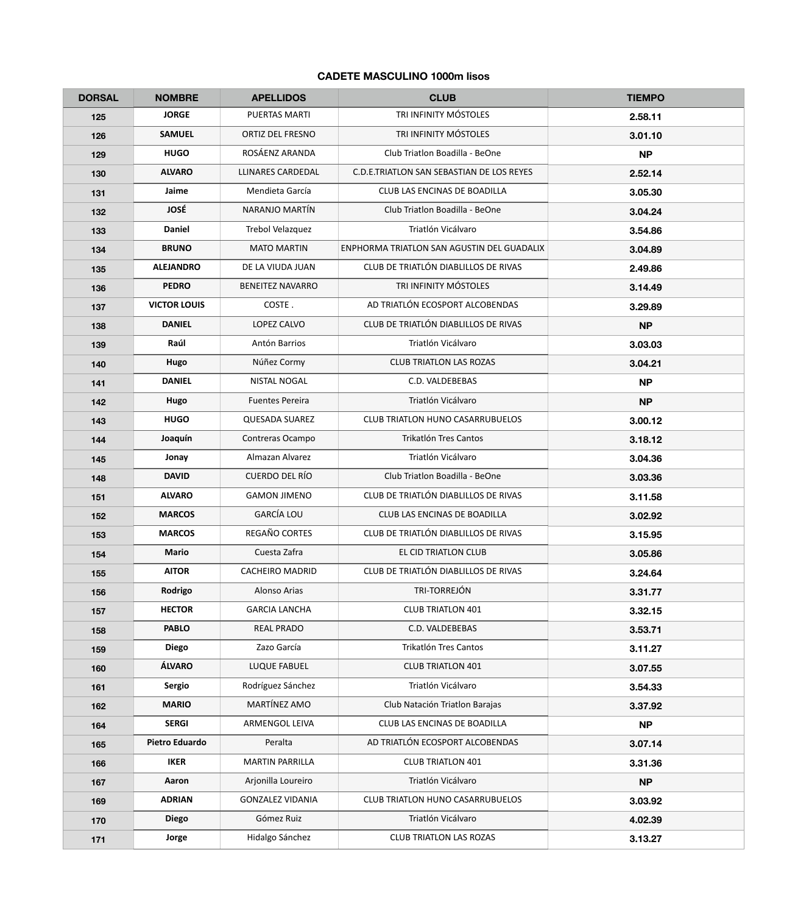#### **CADETE MASCULINO 1000m lisos**

| <b>DORSAL</b> | <b>NOMBRE</b>         | <b>APELLIDOS</b>         | <b>CLUB</b>                                | <b>TIEMPO</b> |
|---------------|-----------------------|--------------------------|--------------------------------------------|---------------|
| 125           | <b>JORGE</b>          | <b>PUERTAS MARTI</b>     | TRI INFINITY MÓSTOLES                      | 2.58.11       |
| 126           | <b>SAMUEL</b>         | <b>ORTIZ DEL FRESNO</b>  | TRI INFINITY MÓSTOLES                      | 3.01.10       |
| 129           | <b>HUGO</b>           | ROSÁENZ ARANDA           | Club Triatlon Boadilla - BeOne             | <b>NP</b>     |
| 130           | <b>ALVARO</b>         | <b>LLINARES CARDEDAL</b> | C.D.E.TRIATLON SAN SEBASTIAN DE LOS REYES  | 2.52.14       |
| 131           | Jaime                 | Mendieta García          | CLUB LAS ENCINAS DE BOADILLA               | 3.05.30       |
| 132           | <b>JOSÉ</b>           | NARANJO MARTÍN           | Club Triatlon Boadilla - BeOne             | 3.04.24       |
| 133           | <b>Daniel</b>         | Trebol Velazquez         | Triatlón Vicálvaro                         | 3.54.86       |
| 134           | <b>BRUNO</b>          | <b>MATO MARTIN</b>       | ENPHORMA TRIATLON SAN AGUSTIN DEL GUADALIX | 3.04.89       |
| 135           | <b>ALEJANDRO</b>      | DE LA VIUDA JUAN         | CLUB DE TRIATLÓN DIABLILLOS DE RIVAS       | 2.49.86       |
| 136           | <b>PEDRO</b>          | <b>BENEITEZ NAVARRO</b>  | TRI INFINITY MÓSTOLES                      | 3.14.49       |
| 137           | <b>VICTOR LOUIS</b>   | COSTE.                   | AD TRIATLÓN ECOSPORT ALCOBENDAS            | 3.29.89       |
| 138           | <b>DANIEL</b>         | LOPEZ CALVO              | CLUB DE TRIATLÓN DIABLILLOS DE RIVAS       | <b>NP</b>     |
| 139           | Raúl                  | Antón Barrios            | Triatlón Vicálvaro                         | 3.03.03       |
| 140           | Hugo                  | Núñez Cormy              | <b>CLUB TRIATLON LAS ROZAS</b>             | 3.04.21       |
| 141           | <b>DANIEL</b>         | NISTAL NOGAL             | C.D. VALDEBEBAS                            | <b>NP</b>     |
| 142           | Hugo                  | <b>Fuentes Pereira</b>   | Triatlón Vicálvaro                         | <b>NP</b>     |
| 143           | <b>HUGO</b>           | <b>QUESADA SUAREZ</b>    | <b>CLUB TRIATLON HUNO CASARRUBUELOS</b>    | 3.00.12       |
| 144           | Joaquín               | Contreras Ocampo         | Trikatlón Tres Cantos                      | 3.18.12       |
| 145           | Jonay                 | Almazan Alvarez          | Triatlón Vicálvaro                         | 3.04.36       |
| 148           | <b>DAVID</b>          | <b>CUERDO DEL RÍO</b>    | Club Triatlon Boadilla - BeOne             | 3.03.36       |
| 151           | <b>ALVARO</b>         | <b>GAMON JIMENO</b>      | CLUB DE TRIATLÓN DIABLILLOS DE RIVAS       | 3.11.58       |
| 152           | <b>MARCOS</b>         | <b>GARCÍA LOU</b>        | CLUB LAS ENCINAS DE BOADILLA               | 3.02.92       |
| 153           | <b>MARCOS</b>         | REGAÑO CORTES            | CLUB DE TRIATLÓN DIABLILLOS DE RIVAS       | 3.15.95       |
| 154           | <b>Mario</b>          | Cuesta Zafra             | EL CID TRIATLON CLUB                       | 3.05.86       |
| 155           | <b>AITOR</b>          | <b>CACHEIRO MADRID</b>   | CLUB DE TRIATLÓN DIABLILLOS DE RIVAS       | 3.24.64       |
| 156           | Rodrigo               | Alonso Arias             | TRI-TORREJÓN                               | 3.31.77       |
| 157           | <b>HECTOR</b>         | <b>GARCIA LANCHA</b>     | <b>CLUB TRIATLON 401</b>                   | 3.32.15       |
| 158           | <b>PABLO</b>          | <b>REAL PRADO</b>        | C.D. VALDEBEBAS                            | 3.53.71       |
| 159           | <b>Diego</b>          | Zazo García              | Trikatlón Tres Cantos                      | 3.11.27       |
| 160           | ÁLVARO                | LUQUE FABUEL             | <b>CLUB TRIATLON 401</b>                   | 3.07.55       |
| 161           | <b>Sergio</b>         | Rodríguez Sánchez        | Triatlón Vicálvaro                         | 3.54.33       |
| 162           | <b>MARIO</b>          | MARTÍNEZ AMO             | Club Natación Triatlon Barajas             | 3.37.92       |
| 164           | <b>SERGI</b>          | <b>ARMENGOL LEIVA</b>    | CLUB LAS ENCINAS DE BOADILLA               | <b>NP</b>     |
| 165           | <b>Pietro Eduardo</b> | Peralta                  | AD TRIATLÓN ECOSPORT ALCOBENDAS            | 3.07.14       |
| 166           | <b>IKER</b>           | <b>MARTIN PARRILLA</b>   | <b>CLUB TRIATLON 401</b>                   | 3.31.36       |
| 167           | Aaron                 | Arjonilla Loureiro       | Triatlón Vicálvaro                         | <b>NP</b>     |
| 169           | <b>ADRIAN</b>         | <b>GONZALEZ VIDANIA</b>  | <b>CLUB TRIATLON HUNO CASARRUBUELOS</b>    | 3.03.92       |
| 170           | <b>Diego</b>          | Gómez Ruiz               | Triatlón Vicálvaro                         | 4.02.39       |
| 171           | Jorge                 | Hidalgo Sánchez          | <b>CLUB TRIATLON LAS ROZAS</b>             | 3.13.27       |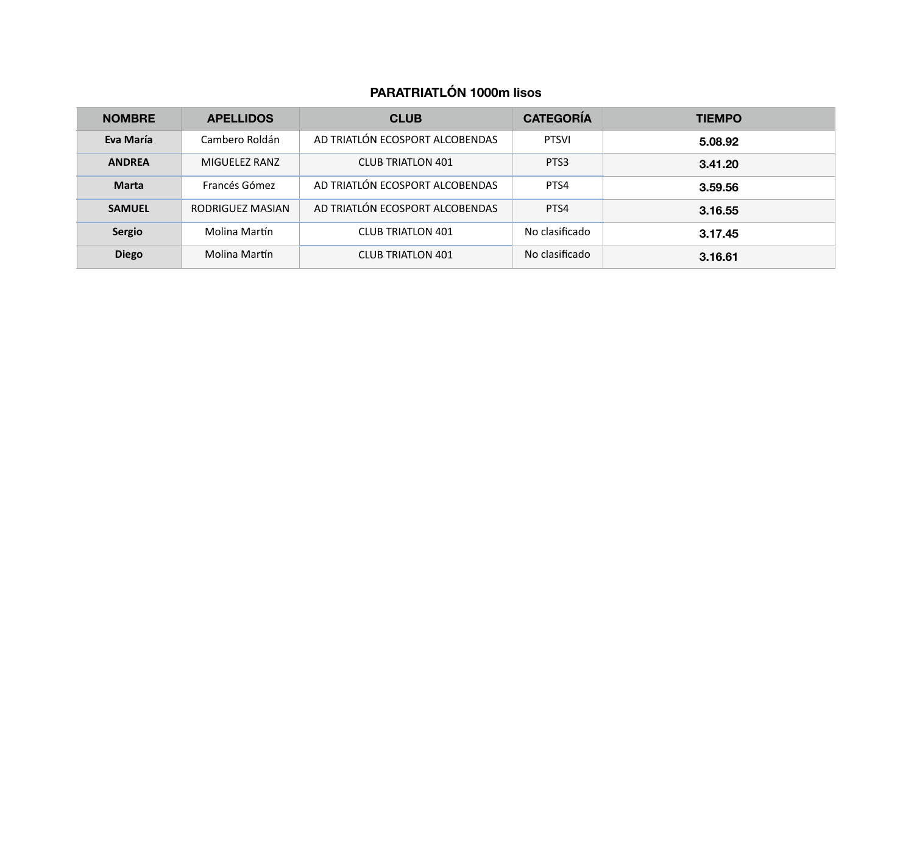# **PARATRIATLÓN 1000m lisos**

| <b>NOMBRE</b> | <b>APELLIDOS</b> | <b>CLUB</b>                     | <b>CATEGORÍA</b> | <b>TIEMPO</b> |
|---------------|------------------|---------------------------------|------------------|---------------|
| Eva María     | Cambero Roldán   | AD TRIATLÓN ECOSPORT ALCOBENDAS | <b>PTSVI</b>     | 5.08.92       |
| <b>ANDREA</b> | MIGUELEZ RANZ    | <b>CLUB TRIATLON 401</b>        | PTS3             | 3.41.20       |
| <b>Marta</b>  | Francés Gómez    | AD TRIATLÓN ECOSPORT ALCOBENDAS | PTS4             | 3.59.56       |
| <b>SAMUEL</b> | RODRIGUEZ MASIAN | AD TRIATLÓN ECOSPORT ALCOBENDAS | PTS4             | 3.16.55       |
| <b>Sergio</b> | Molina Martín    | <b>CLUB TRIATLON 401</b>        | No clasificado   | 3.17.45       |
| <b>Diego</b>  | Molina Martín    | <b>CLUB TRIATLON 401</b>        | No clasificado   | 3.16.61       |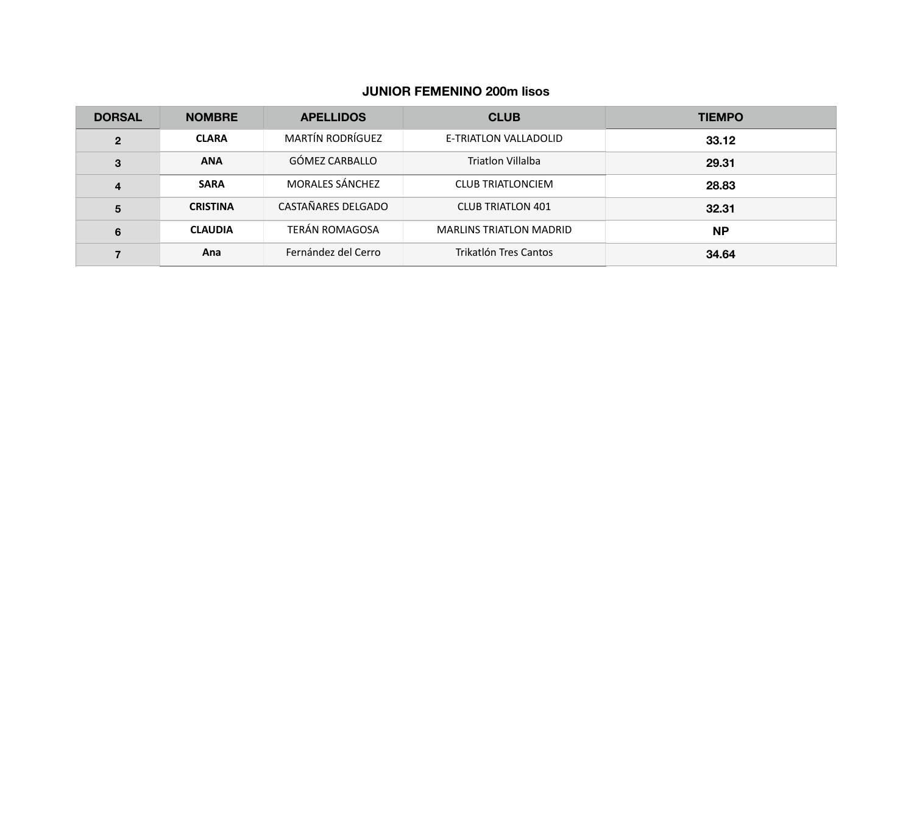# **JUNIOR FEMENINO 200m lisos**

| <b>DORSAL</b>  | <b>NOMBRE</b>   | <b>APELLIDOS</b>        | <b>CLUB</b>                    | <b>TIEMPO</b> |
|----------------|-----------------|-------------------------|--------------------------------|---------------|
| $\overline{2}$ | <b>CLARA</b>    | <b>MARTÍN RODRÍGUEZ</b> | E-TRIATLON VALLADOLID          | 33.12         |
| 3              | <b>ANA</b>      | GÓMEZ CARBALLO          | <b>Triatlon Villalba</b>       | 29.31         |
| 4              | <b>SARA</b>     | <b>MORALES SÁNCHEZ</b>  | <b>CLUB TRIATLONCIEM</b>       | 28.83         |
| $5\phantom{1}$ | <b>CRISTINA</b> | CASTAÑARES DELGADO      | <b>CLUB TRIATLON 401</b>       | 32.31         |
| 6              | <b>CLAUDIA</b>  | <b>TERÁN ROMAGOSA</b>   | <b>MARLINS TRIATLON MADRID</b> | <b>NP</b>     |
|                | Ana             | Fernández del Cerro     | Trikatlón Tres Cantos          | 34.64         |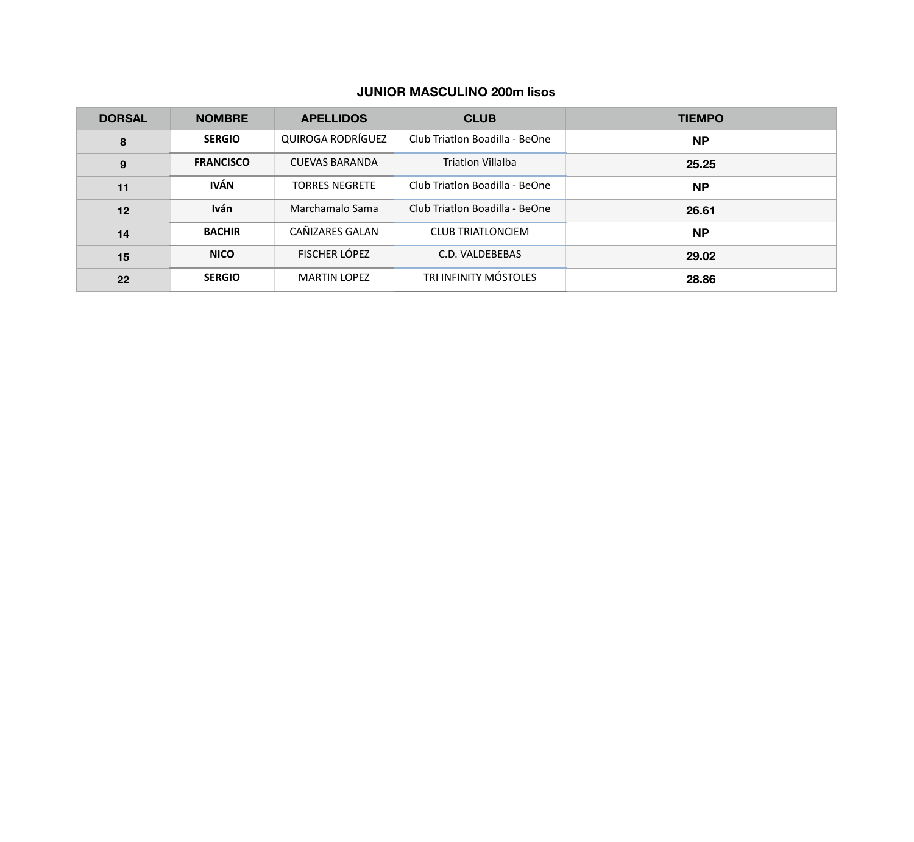# **JUNIOR MASCULINO 200m lisos**

| <b>DORSAL</b> | <b>NOMBRE</b>    | <b>APELLIDOS</b>      | <b>CLUB</b>                    | <b>TIEMPO</b> |
|---------------|------------------|-----------------------|--------------------------------|---------------|
| 8             | <b>SERGIO</b>    | QUIROGA RODRÍGUEZ     | Club Triatlon Boadilla - BeOne | <b>NP</b>     |
| 9             | <b>FRANCISCO</b> | <b>CUEVAS BARANDA</b> | Triatlon Villalba              | 25.25         |
| 11            | <b>IVÁN</b>      | <b>TORRES NEGRETE</b> | Club Triatlon Boadilla - BeOne | <b>NP</b>     |
| 12            | <b>Iván</b>      | Marchamalo Sama       | Club Triatlon Boadilla - BeOne | 26.61         |
| 14            | <b>BACHIR</b>    | CAÑIZARES GALAN       | <b>CLUB TRIATLONCIEM</b>       | <b>NP</b>     |
| 15            | <b>NICO</b>      | FISCHER LÓPEZ         | C.D. VALDEBEBAS                | 29.02         |
| 22            | <b>SERGIO</b>    | <b>MARTIN LOPEZ</b>   | <b>TRI INFINITY MÓSTOLES</b>   | 28.86         |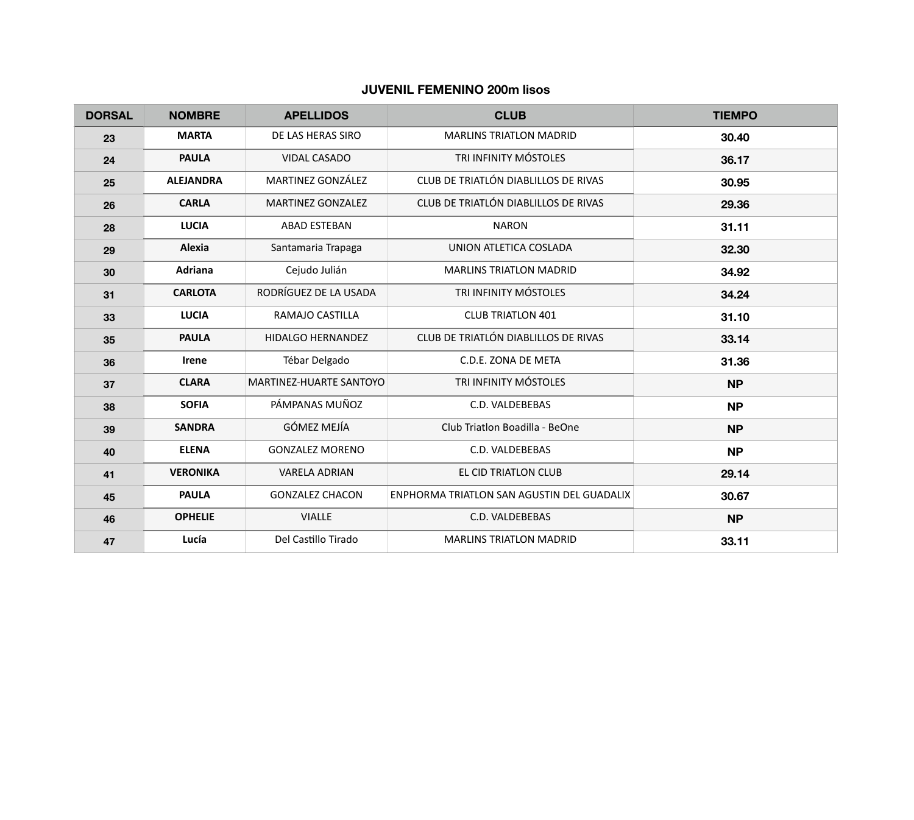# **JUVENIL FEMENINO 200m lisos**

| <b>DORSAL</b> | <b>NOMBRE</b>    | <b>APELLIDOS</b>         | <b>CLUB</b>                                | <b>TIEMPO</b> |
|---------------|------------------|--------------------------|--------------------------------------------|---------------|
| 23            | <b>MARTA</b>     | DE LAS HERAS SIRO        | <b>MARLINS TRIATLON MADRID</b>             | 30.40         |
| 24            | <b>PAULA</b>     | <b>VIDAL CASADO</b>      | TRI INFINITY MÓSTOLES                      | 36.17         |
| 25            | <b>ALEJANDRA</b> | MARTINEZ GONZÁLEZ        | CLUB DE TRIATLÓN DIABLILLOS DE RIVAS       | 30.95         |
| 26            | <b>CARLA</b>     | <b>MARTINEZ GONZALEZ</b> | CLUB DE TRIATLÓN DIABLILLOS DE RIVAS       | 29.36         |
| 28            | <b>LUCIA</b>     | <b>ABAD ESTEBAN</b>      | <b>NARON</b>                               | 31.11         |
| 29            | Alexia           | Santamaria Trapaga       | UNION ATLETICA COSLADA                     | 32.30         |
| 30            | <b>Adriana</b>   | Cejudo Julián            | <b>MARLINS TRIATLON MADRID</b>             | 34.92         |
| 31            | <b>CARLOTA</b>   | RODRÍGUEZ DE LA USADA    | TRI INFINITY MÓSTOLES                      | 34.24         |
| 33            | <b>LUCIA</b>     | RAMAJO CASTILLA          | <b>CLUB TRIATLON 401</b>                   | 31.10         |
| 35            | <b>PAULA</b>     | HIDALGO HERNANDEZ        | CLUB DE TRIATLÓN DIABLILLOS DE RIVAS       | 33.14         |
| 36            | Irene            | Tébar Delgado            | C.D.E. ZONA DE META                        | 31.36         |
| 37            | <b>CLARA</b>     | MARTINEZ-HUARTE SANTOYO  | TRI INFINITY MÓSTOLES                      | <b>NP</b>     |
| 38            | <b>SOFIA</b>     | PÁMPANAS MUÑOZ           | C.D. VALDEBEBAS                            | <b>NP</b>     |
| 39            | <b>SANDRA</b>    | GÓMEZ MEJÍA              | Club Triatlon Boadilla - BeOne             | <b>NP</b>     |
| 40            | <b>ELENA</b>     | <b>GONZALEZ MORENO</b>   | C.D. VALDEBEBAS                            | <b>NP</b>     |
| 41            | <b>VERONIKA</b>  | <b>VARELA ADRIAN</b>     | EL CID TRIATLON CLUB                       | 29.14         |
| 45            | <b>PAULA</b>     | <b>GONZALEZ CHACON</b>   | ENPHORMA TRIATLON SAN AGUSTIN DEL GUADALIX | 30.67         |
| 46            | <b>OPHELIE</b>   | <b>VIALLE</b>            | C.D. VALDEBEBAS                            | <b>NP</b>     |
| 47            | Lucía            | Del Castillo Tirado      | <b>MARLINS TRIATLON MADRID</b>             | 33.11         |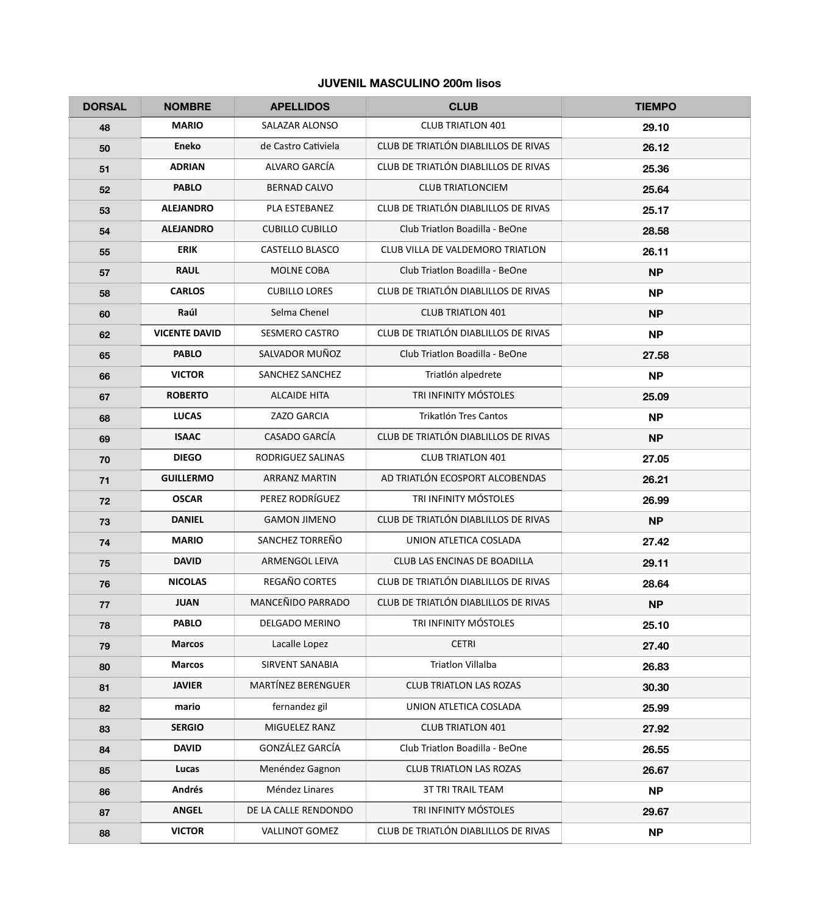#### **JUVENIL MASCULINO 200m lisos**

| <b>DORSAL</b> | <b>NOMBRE</b>        | <b>APELLIDOS</b>          | <b>CLUB</b>                          | <b>TIEMPO</b> |
|---------------|----------------------|---------------------------|--------------------------------------|---------------|
| 48            | <b>MARIO</b>         | <b>SALAZAR ALONSO</b>     | <b>CLUB TRIATLON 401</b>             | 29.10         |
| 50            | <b>Eneko</b>         | de Castro Cativiela       | CLUB DE TRIATLÓN DIABLILLOS DE RIVAS | 26.12         |
| 51            | <b>ADRIAN</b>        | ALVARO GARCÍA             | CLUB DE TRIATLÓN DIABLILLOS DE RIVAS | 25.36         |
| 52            | <b>PABLO</b>         | <b>BERNAD CALVO</b>       | <b>CLUB TRIATLONCIEM</b>             | 25.64         |
| 53            | <b>ALEJANDRO</b>     | PLA ESTEBANEZ             | CLUB DE TRIATLÓN DIABLILLOS DE RIVAS | 25.17         |
| 54            | <b>ALEJANDRO</b>     | <b>CUBILLO CUBILLO</b>    | Club Triatlon Boadilla - BeOne       | 28.58         |
| 55            | <b>ERIK</b>          | <b>CASTELLO BLASCO</b>    | CLUB VILLA DE VALDEMORO TRIATLON     | 26.11         |
| 57            | <b>RAUL</b>          | MOLNE COBA                | Club Triatlon Boadilla - BeOne       | <b>NP</b>     |
| 58            | <b>CARLOS</b>        | <b>CUBILLO LORES</b>      | CLUB DE TRIATLÓN DIABLILLOS DE RIVAS | <b>NP</b>     |
| 60            | Raúl                 | Selma Chenel              | <b>CLUB TRIATLON 401</b>             | <b>NP</b>     |
| 62            | <b>VICENTE DAVID</b> | <b>SESMERO CASTRO</b>     | CLUB DE TRIATLÓN DIABLILLOS DE RIVAS | <b>NP</b>     |
| 65            | <b>PABLO</b>         | SALVADOR MUÑOZ            | Club Triatlon Boadilla - BeOne       | 27.58         |
| 66            | <b>VICTOR</b>        | SANCHEZ SANCHEZ           | Triatlón alpedrete                   | <b>NP</b>     |
| 67            | <b>ROBERTO</b>       | <b>ALCAIDE HITA</b>       | TRI INFINITY MÓSTOLES                | 25.09         |
| 68            | <b>LUCAS</b>         | ZAZO GARCIA               | Trikatlón Tres Cantos                | <b>NP</b>     |
| 69            | <b>ISAAC</b>         | CASADO GARCÍA             | CLUB DE TRIATLÓN DIABLILLOS DE RIVAS | <b>NP</b>     |
| 70            | <b>DIEGO</b>         | RODRIGUEZ SALINAS         | <b>CLUB TRIATLON 401</b>             | 27.05         |
| 71            | <b>GUILLERMO</b>     | <b>ARRANZ MARTIN</b>      | AD TRIATLÓN ECOSPORT ALCOBENDAS      | 26.21         |
| 72            | <b>OSCAR</b>         | PEREZ RODRÍGUEZ           | TRI INFINITY MÓSTOLES                | 26.99         |
| 73            | <b>DANIEL</b>        | <b>GAMON JIMENO</b>       | CLUB DE TRIATLÓN DIABLILLOS DE RIVAS | <b>NP</b>     |
| 74            | <b>MARIO</b>         | SANCHEZ TORREÑO           | UNION ATLETICA COSLADA               | 27.42         |
| 75            | <b>DAVID</b>         | ARMENGOL LEIVA            | <b>CLUB LAS ENCINAS DE BOADILLA</b>  | 29.11         |
| 76            | <b>NICOLAS</b>       | REGAÑO CORTES             | CLUB DE TRIATLÓN DIABLILLOS DE RIVAS | 28.64         |
| 77            | <b>JUAN</b>          | MANCEÑIDO PARRADO         | CLUB DE TRIATLÓN DIABLILLOS DE RIVAS | <b>NP</b>     |
| 78            | <b>PABLO</b>         | <b>DELGADO MERINO</b>     | TRI INFINITY MÓSTOLES                | 25.10         |
| 79            | <b>Marcos</b>        | Lacalle Lopez             | <b>CETRI</b>                         | 27.40         |
| 80            | <b>Marcos</b>        | SIRVENT SANABIA           | <b>Triatlon Villalba</b>             | 26.83         |
| 81            | <b>JAVIER</b>        | <b>MARTÍNEZ BERENGUER</b> | <b>CLUB TRIATLON LAS ROZAS</b>       | 30.30         |
| 82            | mario                | fernandez gil             | UNION ATLETICA COSLADA               | 25.99         |
| 83            | <b>SERGIO</b>        | MIGUELEZ RANZ             | <b>CLUB TRIATLON 401</b>             | 27.92         |
| 84            | <b>DAVID</b>         | GONZÁLEZ GARCÍA           | Club Triatlon Boadilla - BeOne       | 26.55         |
| 85            | Lucas                | Menéndez Gagnon           | <b>CLUB TRIATLON LAS ROZAS</b>       | 26.67         |
| 86            | Andrés               | Méndez Linares            | <b>3T TRI TRAIL TEAM</b>             | <b>NP</b>     |
| 87            | <b>ANGEL</b>         | DE LA CALLE RENDONDO      | TRI INFINITY MÓSTOLES                | 29.67         |
| 88            | <b>VICTOR</b>        | <b>VALLINOT GOMEZ</b>     | CLUB DE TRIATLÓN DIABLILLOS DE RIVAS | <b>NP</b>     |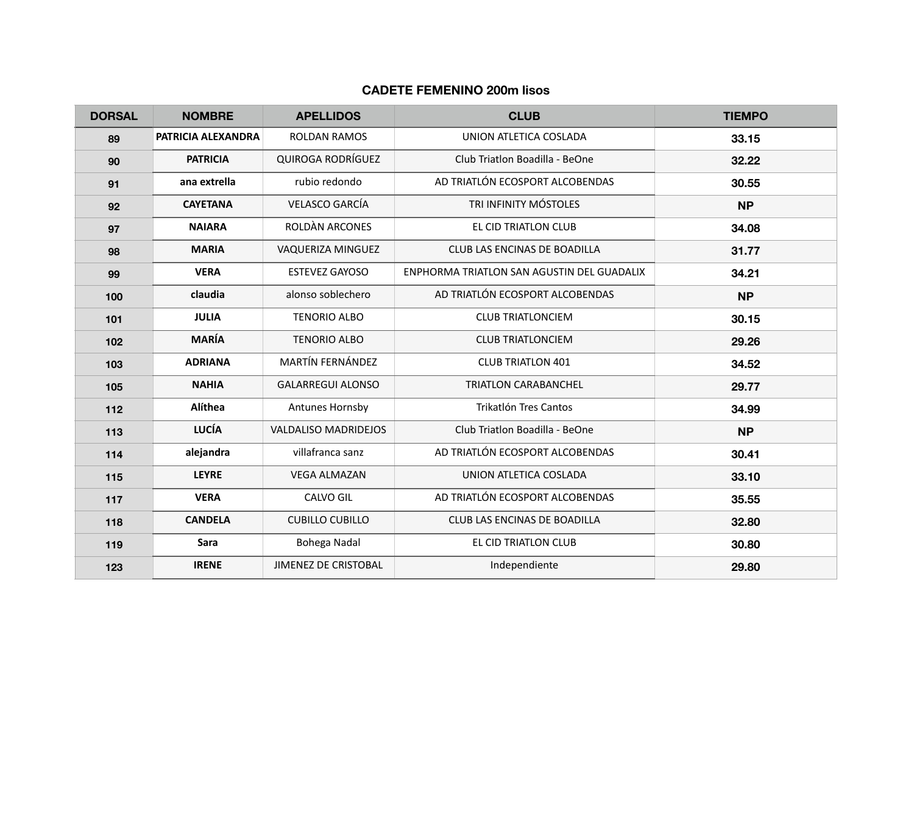# **CADETE FEMENINO 200m lisos**

| <b>DORSAL</b> | <b>NOMBRE</b>      | <b>APELLIDOS</b>            | <b>CLUB</b>                                | <b>TIEMPO</b> |
|---------------|--------------------|-----------------------------|--------------------------------------------|---------------|
| 89            | PATRICIA ALEXANDRA | <b>ROLDAN RAMOS</b>         | UNION ATLETICA COSLADA                     | 33.15         |
| 90            | <b>PATRICIA</b>    | <b>QUIROGA RODRÍGUEZ</b>    | Club Triatlon Boadilla - BeOne             | 32.22         |
| 91            | ana extrella       | rubio redondo               | AD TRIATLÓN ECOSPORT ALCOBENDAS            | 30.55         |
| 92            | <b>CAYETANA</b>    | <b>VELASCO GARCÍA</b>       | TRI INFINITY MÓSTOLES                      | <b>NP</b>     |
| 97            | <b>NAIARA</b>      | ROLDÀN ARCONES              | EL CID TRIATLON CLUB                       | 34.08         |
| 98            | <b>MARIA</b>       | VAQUERIZA MINGUEZ           | CLUB LAS ENCINAS DE BOADILLA               | 31.77         |
| 99            | <b>VERA</b>        | <b>ESTEVEZ GAYOSO</b>       | ENPHORMA TRIATLON SAN AGUSTIN DEL GUADALIX | 34.21         |
| 100           | claudia            | alonso soblechero           | AD TRIATLÓN ECOSPORT ALCOBENDAS            | <b>NP</b>     |
| 101           | <b>JULIA</b>       | <b>TENORIO ALBO</b>         | <b>CLUB TRIATLONCIEM</b>                   | 30.15         |
| 102           | <b>MARÍA</b>       | <b>TENORIO ALBO</b>         | <b>CLUB TRIATLONCIEM</b>                   | 29.26         |
| 103           | <b>ADRIANA</b>     | MARTÍN FERNÁNDEZ            | <b>CLUB TRIATLON 401</b>                   | 34.52         |
| 105           | <b>NAHIA</b>       | <b>GALARREGUI ALONSO</b>    | <b>TRIATLON CARABANCHEL</b>                | 29.77         |
| 112           | Alíthea            | Antunes Hornsby             | Trikatlón Tres Cantos                      | 34.99         |
| 113           | <b>LUCÍA</b>       | <b>VALDALISO MADRIDEJOS</b> | Club Triatlon Boadilla - BeOne             | <b>NP</b>     |
| 114           | alejandra          | villafranca sanz            | AD TRIATLÓN ECOSPORT ALCOBENDAS            | 30.41         |
| 115           | <b>LEYRE</b>       | <b>VEGA ALMAZAN</b>         | UNION ATLETICA COSLADA                     | 33.10         |
| 117           | <b>VERA</b>        | CALVO GIL                   | AD TRIATLÓN ECOSPORT ALCOBENDAS            | 35.55         |
| 118           | <b>CANDELA</b>     | <b>CUBILLO CUBILLO</b>      | CLUB LAS ENCINAS DE BOADILLA               | 32.80         |
| 119           | Sara               | Bohega Nadal                | EL CID TRIATLON CLUB                       | 30.80         |
| 123           | <b>IRENE</b>       | <b>JIMENEZ DE CRISTOBAL</b> | Independiente                              | 29.80         |